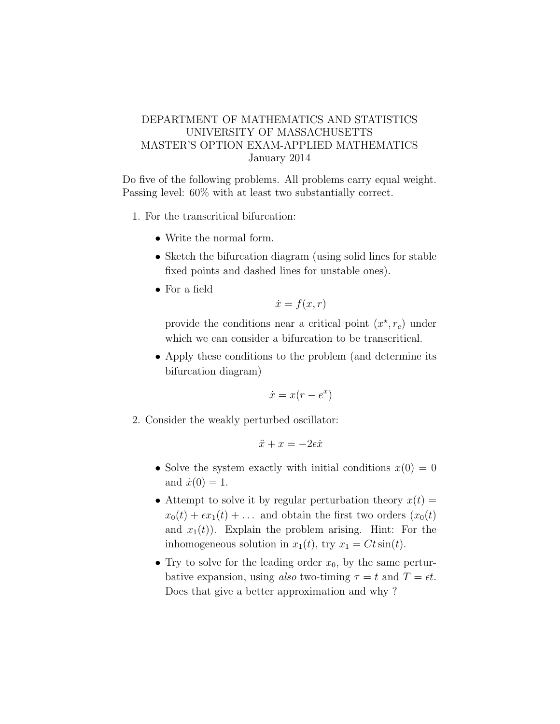## DEPARTMENT OF MATHEMATICS AND STATISTICS UNIVERSITY OF MASSACHUSETTS MASTER'S OPTION EXAM-APPLIED MATHEMATICS January 2014

Do five of the following problems. All problems carry equal weight. Passing level: 60% with at least two substantially correct.

- 1. For the transcritical bifurcation:
	- Write the normal form.
	- Sketch the bifurcation diagram (using solid lines for stable fixed points and dashed lines for unstable ones).
	- For a field

$$
\dot{x} = f(x, r)
$$

provide the conditions near a critical point  $(x^*, r_c)$  under which we can consider a bifurcation to be transcritical.

• Apply these conditions to the problem (and determine its bifurcation diagram)

$$
\dot{x} = x(r - e^x)
$$

2. Consider the weakly perturbed oscillator:

$$
\ddot{x} + x = -2\epsilon \dot{x}
$$

- Solve the system exactly with initial conditions  $x(0) = 0$ and  $\dot{x}(0) = 1$ .
- Attempt to solve it by regular perturbation theory  $x(t) =$  $x_0(t) + \epsilon x_1(t) + \ldots$  and obtain the first two orders  $(x_0(t))$ and  $x_1(t)$ ). Explain the problem arising. Hint: For the inhomogeneous solution in  $x_1(t)$ , try  $x_1 = Ct \sin(t)$ .
- Try to solve for the leading order  $x_0$ , by the same perturbative expansion, using also two-timing  $\tau = t$  and  $T = \epsilon t$ . Does that give a better approximation and why ?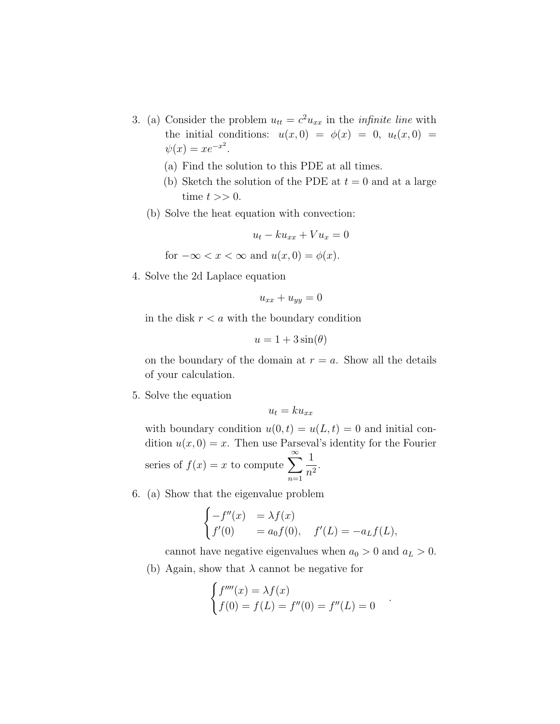- 3. (a) Consider the problem  $u_{tt} = c^2 u_{xx}$  in the *infinite line* with the initial conditions:  $u(x, 0) = \phi(x) = 0, u_t(x, 0) =$  $\psi(x) = xe^{-x^2}.$ 
	- (a) Find the solution to this PDE at all times.
	- (b) Sketch the solution of the PDE at  $t = 0$  and at a large time  $t >> 0$ .
	- (b) Solve the heat equation with convection:

$$
u_t - k u_{xx} + V u_x = 0
$$
  
for  $-\infty < x < \infty$  and  $u(x, 0) = \phi(x)$ .

4. Solve the 2d Laplace equation

$$
u_{xx} + u_{yy} = 0
$$

in the disk  $r < a$  with the boundary condition

$$
u = 1 + 3\sin(\theta)
$$

on the boundary of the domain at  $r = a$ . Show all the details of your calculation.

5. Solve the equation

$$
u_t = k u_{xx}
$$

with boundary condition  $u(0, t) = u(L, t) = 0$  and initial condition  $u(x, 0) = x$ . Then use Parseval's identity for the Fourier series of  $f(x) = x$  to compute  $\sum_{n=1}^{\infty}$  $n=1$ 1  $\frac{1}{n^2}$ .

6. (a) Show that the eigenvalue problem

$$
\begin{cases}\n-f''(x) &= \lambda f(x) \\
f'(0) &= a_0 f(0), \quad f'(L) = -a_L f(L),\n\end{cases}
$$

cannot have negative eigenvalues when  $a_0 > 0$  and  $a_L > 0$ .

(b) Again, show that  $\lambda$  cannot be negative for

$$
\begin{cases}\nf''''(x) = \lambda f(x) \\
f(0) = f(L) = f''(0) = f''(L) = 0\n\end{cases}
$$